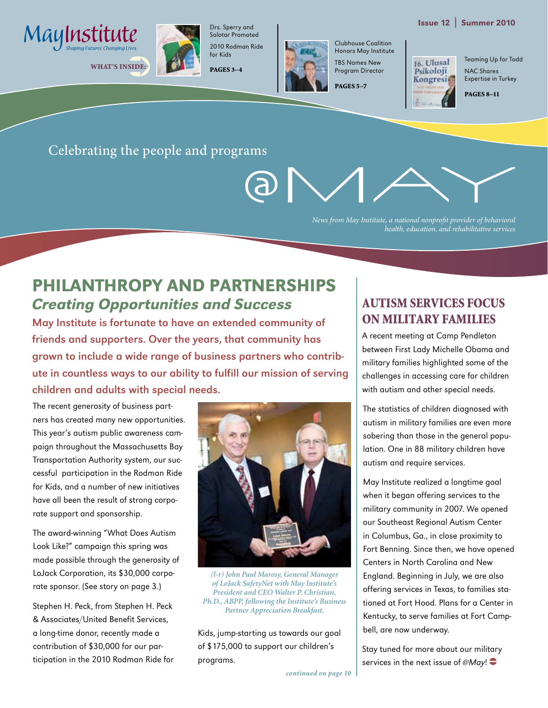#### Issue 12 | Summer 2010





Solotar Promoted 2010 Rodman Ride for Kids

Drs. Sperry and





Clubhouse Coalition Honors May Institute TBS Names New Program Director

PAGES 5–7

16. Ulusal Psikoloji Kongresi Teaming Up for Todd NAC Shares Expertise in Turkey

PAGES 8–11

Celebrating the people and programs



*News from May Institute, a national nonprofit provider of behavioral health, education, and rehabilitative services*

# Philanthropy and Partnerships Creating Opportunities and Success

May Institute is fortunate to have an extended community of friends and supporters. Over the years, that community has grown to include a wide range of business partners who contribute in countless ways to our ability to fulfill our mission of serving children and adults with special needs.

The recent generosity of business partners has created many new opportunities. This year's autism public awareness campaign throughout the Massachusetts Bay Transportation Authority system, our successful participation in the Rodman Ride for Kids, and a number of new initiatives have all been the result of strong corporate support and sponsorship.

The award-winning "What Does Autism Look Like?" campaign this spring was made possible through the generosity of LoJack Corporation, its \$30,000 corporate sponsor. (See story on page 3.)

Stephen H. Peck, from Stephen H. Peck & Associates/United Benefit Services, a long-time donor, recently made a contribution of \$30,000 for our participation in the 2010 Rodman Ride for



*(l-r) John Paul Marosy, General Manager of LoJack SafetyNet with May Institute's President and CEO Walter P. Christian, Ph.D., ABPP, following the Institute's Business Partner Appreciation Breakfast.*

Kids, jump-starting us towards our goal of \$175,000 to support our children's programs.

#### Autism Services Focus on Military Families

A recent meeting at Camp Pendleton between First Lady Michelle Obama and military families highlighted some of the challenges in accessing care for children with autism and other special needs.

The statistics of children diagnosed with autism in military families are even more sobering than those in the general population. One in 88 military children have autism and require services.

May Institute realized a longtime goal when it began offering services to the military community in 2007. We opened our Southeast Regional Autism Center in Columbus, Ga., in close proximity to Fort Benning. Since then, we have opened Centers in North Carolina and New England. Beginning in July, we are also offering services in Texas, to families stationed at Fort Hood. Plans for a Center in Kentucky, to serve families at Fort Campbell, are now underway.

Stay tuned for more about our military services in the next issue of  $@May!$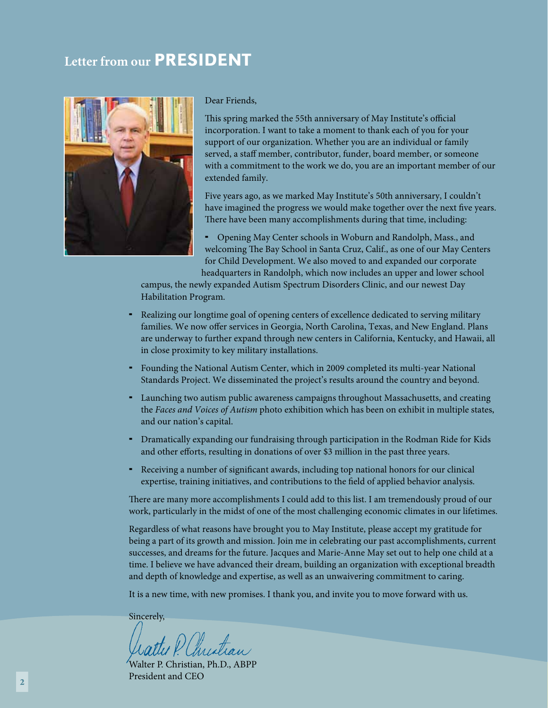## **Letter from our PRESIDENT**



Dear Friends,

This spring marked the 55th anniversary of May Institute's official incorporation. I want to take a moment to thank each of you for your support of our organization. Whether you are an individual or family served, a staff member, contributor, funder, board member, or someone with a commitment to the work we do, you are an important member of our extended family.

Five years ago, as we marked May Institute's 50th anniversary, I couldn't have imagined the progress we would make together over the next five years. There have been many accomplishments during that time, including:

 Opening May Center schools in Woburn and Randolph, Mass., and welcoming The Bay School in Santa Cruz, Calif., as one of our May Centers for Child Development. We also moved to and expanded our corporate headquarters in Randolph, which now includes an upper and lower school

campus, the newly expanded Autism Spectrum Disorders Clinic, and our newest Day Habilitation Program.

- Realizing our longtime goal of opening centers of excellence dedicated to serving military families. We now offer services in Georgia, North Carolina, Texas, and New England. Plans are underway to further expand through new centers in California, Kentucky, and Hawaii, all in close proximity to key military installations.
- Founding the National Autism Center, which in 2009 completed its multi-year National Standards Project. We disseminated the project's results around the country and beyond.
- Launching two autism public awareness campaigns throughout Massachusetts, and creating the *Faces and Voices of Autism* photo exhibition which has been on exhibit in multiple states, and our nation's capital.
- Dramatically expanding our fundraising through participation in the Rodman Ride for Kids and other efforts, resulting in donations of over \$3 million in the past three years.
- Receiving a number of significant awards, including top national honors for our clinical expertise, training initiatives, and contributions to the field of applied behavior analysis.

There are many more accomplishments I could add to this list. I am tremendously proud of our work, particularly in the midst of one of the most challenging economic climates in our lifetimes.

Regardless of what reasons have brought you to May Institute, please accept my gratitude for being a part of its growth and mission. Join me in celebrating our past accomplishments, current successes, and dreams for the future. Jacques and Marie-Anne May set out to help one child at a time. I believe we have advanced their dream, building an organization with exceptional breadth and depth of knowledge and expertise, as well as an unwaivering commitment to caring.

It is a new time, with new promises. I thank you, and invite you to move forward with us.

Sincerely,

attu P. Christian

Walter P. Christian, Ph.D., ABPP President and CEO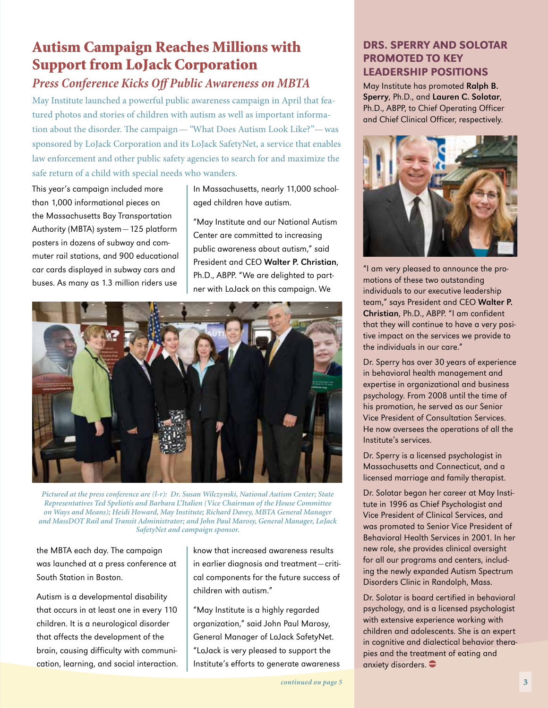# Autism Campaign Reaches Millions with Support from LoJack Corporation

#### *Press Conference Kicks Off Public Awareness on MBTA*

May Institute launched a powerful public awareness campaign in April that featured photos and stories of children with autism as well as important information about the disorder. The campaign—*"*What Does Autism Look Like?"—was sponsored by LoJack Corporation and its LoJack SafetyNet, a service that enables law enforcement and other public safety agencies to search for and maximize the safe return of a child with special needs who wanders.

This year's campaign included more than 1,000 informational pieces on the Massachusetts Bay Transportation Authority (MBTA) system—125 platform posters in dozens of subway and commuter rail stations, and 900 educational car cards displayed in subway cars and buses. As many as 1.3 million riders use

In Massachusetts, nearly 11,000 schoolaged children have autism.

"May Institute and our National Autism Center are committed to increasing public awareness about autism," said President and CEO Walter P. Christian, Ph.D., ABPP. "We are delighted to partner with LoJack on this campaign. We



*Pictured at the press conference are (l-r): Dr. Susan Wilczynski, National Autism Center; State Representatives Ted Speliotis and Barbara L'Italien (Vice Chairman of the House Committee on Ways and Means); Heidi Howard, May Institute; Richard Davey, MBTA General Manager and MassDOT Rail and Transit Administrator; and John Paul Marosy, General Manager, LoJack SafetyNet and campaign sponsor.*

the MBTA each day. The campaign was launched at a press conference at South Station in Boston.

Autism is a developmental disability that occurs in at least one in every 110 children. It is a neurological disorder that affects the development of the brain, causing difficulty with communication, learning, and social interaction.

know that increased awareness results in earlier diagnosis and treatment—critical components for the future success of children with autism."

"May Institute is a highly regarded organization," said John Paul Marosy, General Manager of LoJack SafetyNet. "LoJack is very pleased to support the Institute's efforts to generate awareness

#### Drs. Sperry and Solotar Promoted to Key Leadership Positions

May Institute has promoted Ralph B. Sperry, Ph.D., and Lauren C. Solotar, Ph.D., ABPP, to Chief Operating Officer and Chief Clinical Officer, respectively.



"I am very pleased to announce the promotions of these two outstanding individuals to our executive leadership team," says President and CEO Walter P. Christian, Ph.D., ABPP. "I am confident that they will continue to have a very positive impact on the services we provide to the individuals in our care."

Dr. Sperry has over 30 years of experience in behavioral health management and expertise in organizational and business psychology. From 2008 until the time of his promotion, he served as our Senior Vice President of Consultation Services. He now oversees the operations of all the Institute's services.

Dr. Sperry is a licensed psychologist in Massachusetts and Connecticut, and a licensed marriage and family therapist.

Dr. Solotar began her career at May Institute in 1996 as Chief Psychologist and Vice President of Clinical Services, and was promoted to Senior Vice President of Behavioral Health Services in 2001. In her new role, she provides clinical oversight for all our programs and centers, including the newly expanded Autism Spectrum Disorders Clinic in Randolph, Mass.

Dr. Solotar is board certified in behavioral psychology, and is a licensed psychologist with extensive experience working with children and adolescents. She is an expert in cognitive and dialectical behavior therapies and the treatment of eating and anxiety disorders.  $\bullet$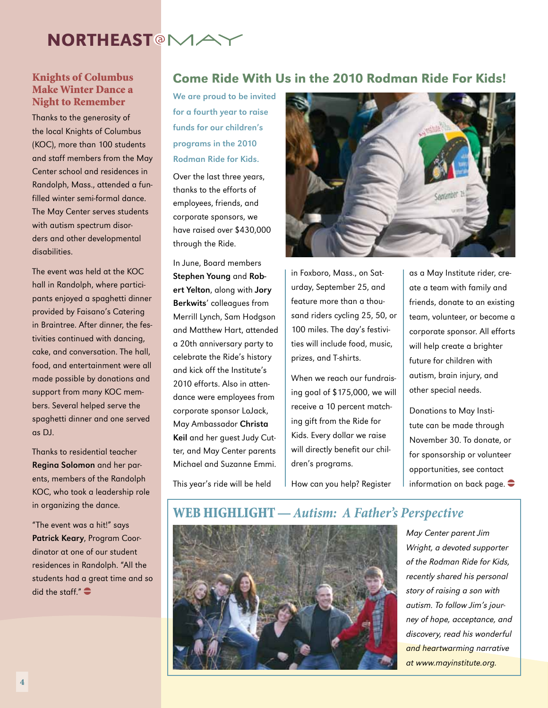

## Make Winter Dance a Night to Remember

Thanks to the generosity of the local Knights of Columbus (KOC), more than 100 students and staff members from the May Center school and residences in Randolph, Mass., attended a funfilled winter semi-formal dance. The May Center serves students with autism spectrum disorders and other developmental disabilities.

The event was held at the KOC hall in Randolph, where participants enjoyed a spaghetti dinner provided by Faisano's Catering in Braintree. After dinner, the festivities continued with dancing, cake, and conversation. The hall, food, and entertainment were all made possible by donations and support from many KOC members. Several helped serve the spaghetti dinner and one served as DJ.

Thanks to residential teacher Regina Solomon and her parents, members of the Randolph KOC, who took a leadership role in organizing the dance.

"The event was a hit!" says Patrick Keary, Program Coordinator at one of our student residences in Randolph. "All the students had a great time and so did the staff." $\bullet$ 

#### Knights of Columbus Come Ride With Us in the 2010 Rodman Ride For Kids!

We are proud to be invited for a fourth year to raise funds for our children's programs in the 2010 Rodman Ride for Kids.

Over the last three years, thanks to the efforts of employees, friends, and corporate sponsors, we have raised over \$430,000 through the Ride.

In June, Board members Stephen Young and Robert Yelton, along with Jory Berkwits' colleagues from Merrill Lynch, Sam Hodgson and Matthew Hart, attended a 20th anniversary party to celebrate the Ride's history and kick off the Institute's 2010 efforts. Also in attendance were employees from corporate sponsor LoJack, May Ambassador Christa Keil and her guest Judy Cutter, and May Center parents Michael and Suzanne Emmi.



in Foxboro, Mass., on Saturday, September 25, and feature more than a thousand riders cycling 25, 50, or 100 miles. The day's festivities will include food, music, prizes, and T-shirts.

When we reach our fundraising goal of \$175,000, we will receive a 10 percent matching gift from the Ride for Kids. Every dollar we raise will directly benefit our children's programs.

How can you help? Register

as a May Institute rider, create a team with family and friends, donate to an existing team, volunteer, or become a corporate sponsor. All efforts will help create a brighter future for children with autism, brain injury, and other special needs.

Donations to May Institute can be made through November 30. To donate, or for sponsorship or volunteer opportunities, see contact information on back page.  $\bullet$ 

This year's ride will be held

#### Web Highlight — *Autism: A Father's Perspective*



May Center parent Jim Wright, a devoted supporter of the Rodman Ride for Kids, recently shared his personal story of raising a son with autism. To follow Jim's journey of hope, acceptance, and discovery, read his wonderful and heartwarming narrative at www.mayinstitute.org.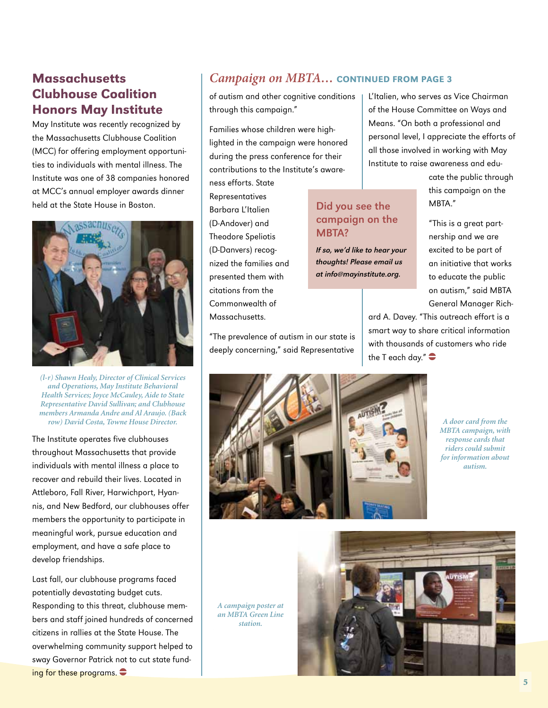#### **Massachusetts** Clubhouse Coalition Honors May Institute

May Institute was recently recognized by the Massachusetts Clubhouse Coalition (MCC) for offering employment opportunities to individuals with mental illness. The Institute was one of 38 companies honored at MCC's annual employer awards dinner held at the State House in Boston.



*(l-r) Shawn Healy, Director of Clinical Services and Operations, May Institute Behavioral Health Services; Joyce McCauley, Aide to State Representative David Sullivan; and Clubhouse members Armanda Andre and Al Araujo. (Back* 

The Institute operates five clubhouses throughout Massachusetts that provide individuals with mental illness a place to recover and rebuild their lives. Located in Attleboro, Fall River, Harwichport, Hyannis, and New Bedford, our clubhouses offer members the opportunity to participate in meaningful work, pursue education and employment, and have a safe place to develop friendships.

Last fall, our clubhouse programs faced potentially devastating budget cuts. Responding to this threat, clubhouse members and staff joined hundreds of concerned citizens in rallies at the State House. The overwhelming community support helped to sway Governor Patrick not to cut state funding for these programs.  $\bullet$ 

#### *Campaign on MBTA…* continued from page 3

Did you see the campaign on the

If so, we'd like to hear your thoughts! Please email us at info@mayinstitute.org.

MBTA?

of autism and other cognitive conditions through this campaign."

Families whose children were highlighted in the campaign were honored during the press conference for their contributions to the Institute's aware-

ness efforts. State Representatives Barbara L'Italien (D-Andover) and Theodore Speliotis (D-Danvers) recognized the families and presented them with citations from the Commonwealth of Massachusetts.

"The prevalence of autism in our state is deeply concerning," said Representative

L'Italien, who serves as Vice Chairman of the House Committee on Ways and Means. "On both a professional and personal level, I appreciate the efforts of all those involved in working with May Institute to raise awareness and edu-

> cate the public through this campaign on the MBTA."

> "This is a great partnership and we are excited to be part of an initiative that works to educate the public on autism," said MBTA General Manager Rich-

ard A. Davey. "This outreach effort is a smart way to share critical information with thousands of customers who ride the T each day." $\bullet$ 



*MBTA campaign, with response cards that riders could submit for information about autism.* 

*A campaign poster at an MBTA Green Line station.*

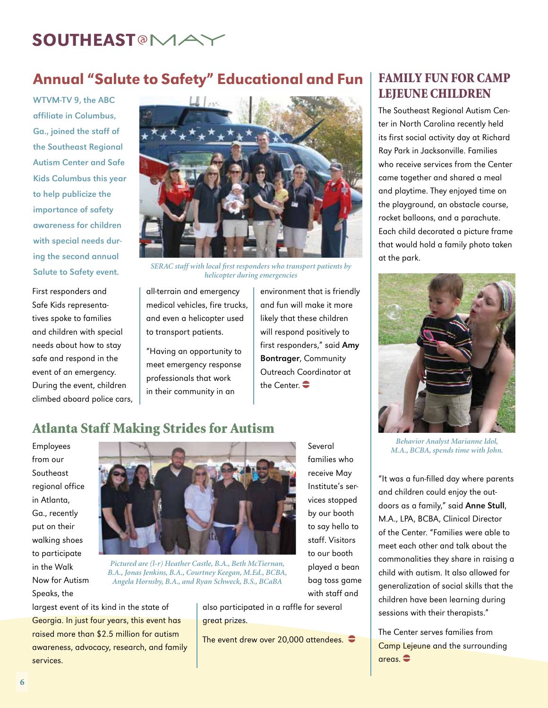# SOUTHEAST<sup>®</sup>MA

## Annual "Salute to Safety" Educational and Fun

WTVM-TV 9, the ABC affiliate in Columbus, Ga., joined the staff of the Southeast Regional Autism Center and Safe Kids Columbus this year to help publicize the importance of safety awareness for children with special needs during the second annual

First responders and Safe Kids representatives spoke to families and children with special needs about how to stay safe and respond in the event of an emergency. During the event, children climbed aboard police cars,



Salute to Safety event. *SERAC staff with local first responders who transport patients by helicopter during emergencies* 

all-terrain and emergency medical vehicles, fire trucks, and even a helicopter used to transport patients.

"Having an opportunity to meet emergency response professionals that work in their community in an

environment that is friendly and fun will make it more likely that these children will respond positively to first responders," said Amy Bontrager, Community Outreach Coordinator at the Center.  $\bullet$ 

#### Family Fun for Camp Lejeune Children

The Southeast Regional Autism Center in North Carolina recently held its first social activity day at Richard Ray Park in Jacksonville. Families who receive services from the Center came together and shared a meal and playtime. They enjoyed time on the playground, an obstacle course, rocket balloons, and a parachute. Each child decorated a picture frame that would hold a family photo taken at the park.



#### Atlanta Staff Making Strides for Autism

Employees from our Southeast regional office in Atlanta, Ga., recently put on their walking shoes to participate in the Walk Now for Autism Speaks, the



*Pictured are (l-r) Heather Castle, B.A., Beth McTiernan, B.A., Jonas Jenkins, B.A., Courtney Keegan, M.Ed., BCBA, Angela Hornsby, B.A., and Ryan Schweck, B.S., BCaBA* 

largest event of its kind in the state of Georgia. In just four years, this event has raised more than \$2.5 million for autism awareness, advocacy, research, and family services.

vices stopped by our booth to say hello to staff. Visitors to our booth played a bean bag toss game with staff and

Several families who receive May Institute's ser-

also participated in a raffle for several great prizes.

The event drew over 20,000 attendees.  $\bullet$ 

*Behavior Analyst Marianne Idol, M.A., BCBA, spends time with John.*

"It was a fun-filled day where parents and children could enjoy the outdoors as a family," said Anne Stull, M.A., LPA, BCBA, Clinical Director of the Center. "Families were able to meet each other and talk about the commonalities they share in raising a child with autism. It also allowed for generalization of social skills that the children have been learning during sessions with their therapists."

The Center serves families from Camp Lejeune and the surrounding  $area<sub>s</sub>$   $\triangle$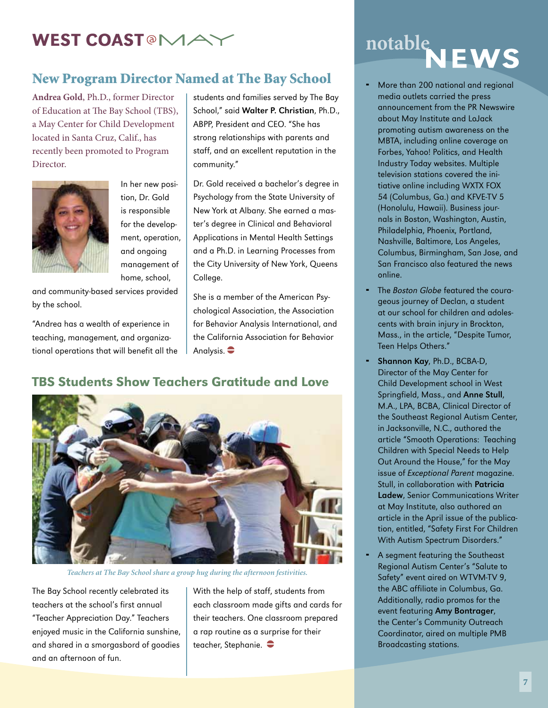# WEST COAST<sup>®</sup>MA

#### New Program Director Named at The Bay School

**Andrea Gold**, Ph.D., former Director of Education at The Bay School (TBS), a May Center for Child Development located in Santa Cruz, Calif., has recently been promoted to Program Director.



In her new position, Dr. Gold is responsible for the development, operation, and ongoing management of home, school,

and community-based services provided by the school.

"Andrea has a wealth of experience in teaching, management, and organizational operations that will benefit all the

students and families served by The Bay School," said Walter P. Christian, Ph.D., ABPP, President and CEO. "She has strong relationships with parents and staff, and an excellent reputation in the community."

Dr. Gold received a bachelor's degree in Psychology from the State University of New York at Albany. She earned a master's degree in Clinical and Behavioral Applications in Mental Health Settings and a Ph.D. in Learning Processes from the City University of New York, Queens College.

She is a member of the American Psychological Association, the Association for Behavior Analysis International, and the California Association for Behavior Analysis.  $\bullet$ 

#### TBS Students Show Teachers Gratitude and Love



*Teachers at The Bay School share a group hug during the afternoon festivities.* 

The Bay School recently celebrated its teachers at the school's first annual "Teacher Appreciation Day." Teachers enjoyed music in the California sunshine, and shared in a smorgasbord of goodies and an afternoon of fun.

With the help of staff, students from each classroom made gifts and cards for their teachers. One classroom prepared a rap routine as a surprise for their teacher, Stephanie.  $\bullet$ 

# notable<br>NEWS

- More than 200 national and regional media outlets carried the press announcement from the PR Newswire about May Institute and LoJack promoting autism awareness on the MBTA, including online coverage on Forbes, Yahoo! Politics, and Health Industry Today websites. Multiple television stations covered the initiative online including WXTX FOX 54 (Columbus, Ga.) and KFVE-TV 5 (Honolulu, Hawaii). Business journals in Boston, Washington, Austin, Philadelphia, Phoenix, Portland, Nashville, Baltimore, Los Angeles, Columbus, Birmingham, San Jose, and San Francisco also featured the news online.
- The Boston Globe featured the courageous journey of Declan, a student at our school for children and adolescents with brain injury in Brockton, Mass., in the article, "Despite Tumor, Teen Helps Others."
- Shannon Kay, Ph.D., BCBA-D, Director of the May Center for Child Development school in West Springfield, Mass., and Anne Stull, M.A., LPA, BCBA, Clinical Director of the Southeast Regional Autism Center, in Jacksonville, N.C., authored the article "Smooth Operations: Teaching Children with Special Needs to Help Out Around the House," for the May issue of Exceptional Parent magazine. Stull, in collaboration with Patricia Ladew, Senior Communications Writer at May Institute, also authored an article in the April issue of the publication, entitled, "Safety First For Children With Autism Spectrum Disorders."
- A segment featuring the Southeast Regional Autism Center's "Salute to Safety" event aired on WTVM-TV 9, the ABC affiliate in Columbus, Ga. Additionally, radio promos for the event featuring Amy Bontrager, the Center's Community Outreach Coordinator, aired on multiple PMB Broadcasting stations.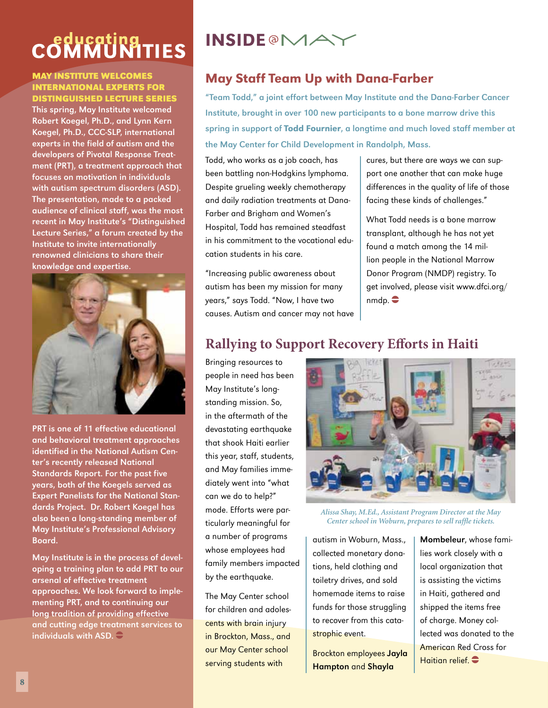# COMMUNITIES

#### **May Institute Welcomes International Experts for Distinguished Lecture Series**

This spring, May Institute welcomed Robert Koegel, Ph.D., and Lynn Kern Koegel, Ph.D., CCC-SLP, international experts in the field of autism and the developers of Pivotal Response Treatment (PRT), a treatment approach that focuses on motivation in individuals with autism spectrum disorders (ASD). The presentation, made to a packed audience of clinical staff, was the most recent in May Institute's "Distinguished Lecture Series," a forum created by the Institute to invite internationally renowned clinicians to share their knowledge and expertise.



PRT is one of 11 effective educational and behavioral treatment approaches identified in the National Autism Center's recently released National Standards Report. For the past five years, both of the Koegels served as Expert Panelists for the National Standards Project. Dr. Robert Koegel has also been a long-standing member of May Institute's Professional Advisory Board.

May Institute is in the process of developing a training plan to add PRT to our arsenal of effective treatment approaches. We look forward to implementing PRT, and to continuing our long tradition of providing effective and cutting edge treatment services to individuals with ASD.  $\ominus$ 

# **INSIDE @MAY**

### May Staff Team Up with Dana-Farber

"Team Todd," a joint effort between May Institute and the Dana-Farber Cancer Institute, brought in over 100 new participants to a bone marrow drive this spring in support of Todd Fournier, a longtime and much loved staff member at the May Center for Child Development in Randolph, Mass.

Todd, who works as a job coach, has been battling non-Hodgkins lymphoma. Despite grueling weekly chemotherapy and daily radiation treatments at Dana-Farber and Brigham and Women's Hospital, Todd has remained steadfast in his commitment to the vocational education students in his care.

"Increasing public awareness about autism has been my mission for many years," says Todd. "Now, I have two causes. Autism and cancer may not have cures, but there are ways we can support one another that can make huge differences in the quality of life of those facing these kinds of challenges."

What Todd needs is a bone marrow transplant, although he has not yet found a match among the 14 million people in the National Marrow Donor Program (NMDP) registry. To get involved, please visit www.dfci.org/  $nmdp.$ 

### **Rallying to Support Recovery Efforts in Haiti**

Bringing resources to people in need has been May Institute's longstanding mission. So, in the aftermath of the devastating earthquake that shook Haiti earlier this year, staff, students, and May families immediately went into "what can we do to help?" mode. Efforts were particularly meaningful for a number of programs whose employees had family members impacted by the earthquake.

The May Center school for children and adolescents with brain injury in Brockton, Mass., and our May Center school serving students with



*Alissa Shay, M.Ed., Assistant Program Director at the May Center school in Woburn, prepares to sell raffle tickets.*

autism in Woburn, Mass., collected monetary donations, held clothing and toiletry drives, and sold homemade items to raise funds for those struggling to recover from this catastrophic event.

Brockton employees Jayla Hampton and Shayla

Mombeleur, whose families work closely with a local organization that is assisting the victims in Haiti, gathered and shipped the items free of charge. Money collected was donated to the American Red Cross for Haitian relief.  $\bullet$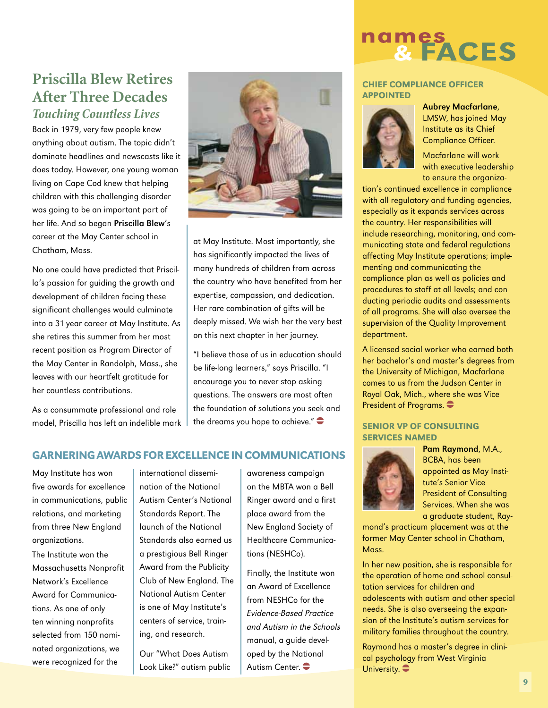#### **Priscilla Blew Retires After Three Decades** *Touching Countless Lives*

Back in 1979, very few people knew anything about autism. The topic didn't dominate headlines and newscasts like it does today. However, one young woman living on Cape Cod knew that helping children with this challenging disorder was going to be an important part of her life. And so began Priscilla Blew's career at the May Center school in Chatham, Mass.

No one could have predicted that Priscilla's passion for guiding the growth and development of children facing these significant challenges would culminate into a 31-year career at May Institute. As she retires this summer from her most recent position as Program Director of the May Center in Randolph, Mass., she leaves with our heartfelt gratitude for her countless contributions.

As a consummate professional and role model, Priscilla has left an indelible mark



at May Institute. Most importantly, she has significantly impacted the lives of many hundreds of children from across the country who have benefited from her expertise, compassion, and dedication. Her rare combination of gifts will be deeply missed. We wish her the very best on this next chapter in her journey.

"I believe those of us in education should be life-long learners," says Priscilla. "I encourage you to never stop asking questions. The answers are most often the foundation of solutions you seek and the dreams you hope to achieve." $\bullet$ 

#### Garnering Awardsfor Excellence in communications

May Institute has won five awards for excellence in communications, public relations, and marketing from three New England organizations.

The Institute won the Massachusetts Nonprofit Network's Excellence Award for Communications. As one of only ten winning nonprofits selected from 150 nominated organizations, we were recognized for the

international dissemination of the National Autism Center's National Standards Report. The launch of the National Standards also earned us a prestigious Bell Ringer Award from the Publicity Club of New England. The National Autism Center is one of May Institute's centers of service, training, and research.

Our "What Does Autism Look Like?" autism public awareness campaign on the MBTA won a Bell Ringer award and a first place award from the New England Society of Healthcare Communications (NESHCo).

Finally, the Institute won an Award of Excellence from NESHCo for the Evidence-Based Practice and Autism in the Schools manual, a guide developed by the National Autism Center.



#### Chief Compliance officer **APPOINTED**



Aubrey Macfarlane, LMSW, has joined May Institute as its Chief Compliance Officer.

Macfarlane will work with executive leadership to ensure the organiza-

tion's continued excellence in compliance with all regulatory and funding agencies, especially as it expands services across the country. Her responsibilities will include researching, monitoring, and communicating state and federal regulations affecting May Institute operations; implementing and communicating the compliance plan as well as policies and procedures to staff at all levels; and conducting periodic audits and assessments of all programs. She will also oversee the supervision of the Quality Improvement department.

A licensed social worker who earned both her bachelor's and master's degrees from the University of Michigan, Macfarlane comes to us from the Judson Center in Royal Oak, Mich., where she was Vice President of Programs.

#### Senior VP of Consulting Services Named



Pam Raymond, M.A., BCBA, has been appointed as May Institute's Senior Vice President of Consulting Services. When she was a graduate student, Ray-

mond's practicum placement was at the former May Center school in Chatham, Mass.

In her new position, she is responsible for the operation of home and school consultation services for children and adolescents with autism and other special needs. She is also overseeing the expansion of the Institute's autism services for military families throughout the country.

Raymond has a master's degree in clinical psychology from West Virginia University.  $\bullet$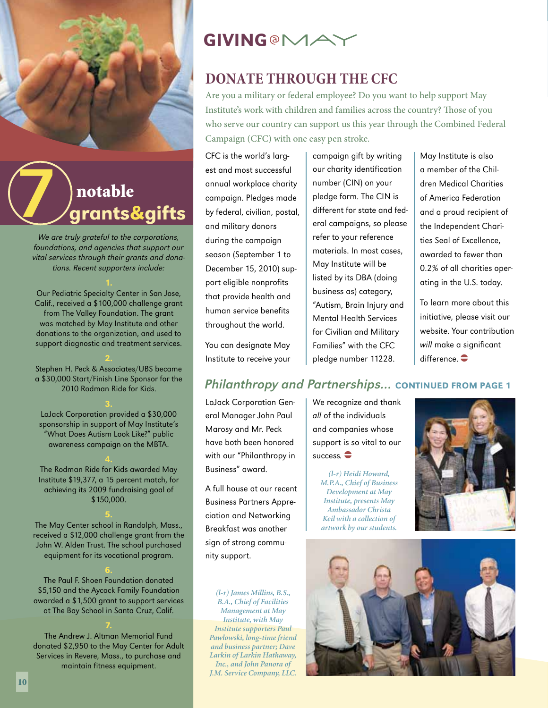

# grants&gifts notable

We are truly grateful to the corporations, foundations, and agencies that support our vital services through their grants and donations. Recent supporters include:

Our Pediatric Specialty Center in San Jose, Calif., received a \$100,000 challenge grant from The Valley Foundation. The grant was matched by May Institute and other donations to the organization, and used to support diagnostic and treatment services.

2. Stephen H. Peck & Associates/UBS became a \$30,000 Start/Finish Line Sponsor for the 2010 Rodman Ride for Kids.

LoJack Corporation provided a \$30,000 sponsorship in support of May Institute's "What Does Autism Look Like?" public awareness campaign on the MBTA.

The Rodman Ride for Kids awarded May Institute \$19,377, a 15 percent match, for achieving its 2009 fundraising goal of \$150,000.

The May Center school in Randolph, Mass., received a \$12,000 challenge grant from the John W. Alden Trust. The school purchased equipment for its vocational program.

The Paul F. Shoen Foundation donated \$5,150 and the Aycock Family Foundation awarded a \$1,500 grant to support services at The Bay School in Santa Cruz, Calif.

The Andrew J. Altman Memorial Fund donated \$2,950 to the May Center for Adult Services in Revere, Mass., to purchase and maintain fitness equipment.

# **GIVING @MAY**

# **Donate Through the CFC**

Are you a military or federal employee? Do you want to help support May Institute's work with children and families across the country? Those of you who serve our country can support us this year through the Combined Federal Campaign (CFC) with one easy pen stroke.

CFC is the world's largest and most successful annual workplace charity campaign. Pledges made by federal, civilian, postal, and military donors during the campaign season (September 1 to December 15, 2010) support eligible nonprofits that provide health and human service benefits throughout the world.

You can designate May Institute to receive your campaign gift by writing our charity identification number (CIN) on your pledge form. The CIN is different for state and federal campaigns, so please refer to your reference materials. In most cases, May Institute will be listed by its DBA (doing business as) category, "Autism, Brain Injury and Mental Health Services for Civilian and Military Families" with the CFC pledge number 11228.

May Institute is also a member of the Children Medical Charities of America Federation and a proud recipient of the Independent Charities Seal of Excellence, awarded to fewer than 0.2% of all charities operating in the U.S. today.

To learn more about this initiative, please visit our website. Your contribution will make a significant difference.  $\bullet$ 

#### Philanthropy and Partnerships... CONTINUED FROM PAGE 1

LoJack Corporation General Manager John Paul Marosy and Mr. Peck have both been honored with our "Philanthropy in Business" award.

A full house at our recent Business Partners Appreciation and Networking Breakfast was another sign of strong community support.

*(l-r) James Millins, B.S., B.A., Chief of Facilities Management at May Institute, with May Institute supporters Paul Pawlowski, long-time friend and business partner; Dave Larkin of Larkin Hathaway, Inc., and John Panora of J.M. Service Company, LLC.*

We recognize and thank all of the individuals and companies whose support is so vital to our success.  $\bullet$ 

*(l-r) Heidi Howard, M.P.A., Chief of Business Development at May Institute, presents May Ambassador Christa Keil with a collection of artwork by our students.*



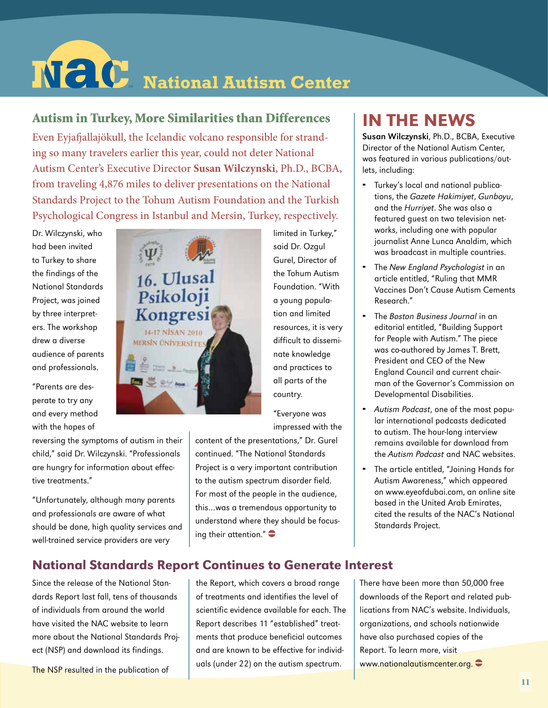# $N$   $C$  National Autism Center

#### Autism in Turkey, More Similarities than Differences

Even Eyjafjallajökull, the Icelandic volcano responsible for stranding so many travelers earlier this year, could not deter National Autism Center's Executive Director **Susan Wilczynski**, Ph.D., BCBA, from traveling 4,876 miles to deliver presentations on the National Standards Project to the Tohum Autism Foundation and the Turkish Psychological Congress in Istanbul and Mersin, Turkey, respectively.

Dr. Wilczynski, who had been invited to Turkey to share the findings of the National Standards Project, was joined by three interpreters. The workshop drew a diverse audience of parents and professionals.

"Parents are desperate to try any and every method with the hopes of

reversing the symptoms of autism in their child," said Dr. Wilczynski. "Professionals are hungry for information about effective treatments."

"Unfortunately, although many parents and professionals are aware of what should be done, high quality services and well-trained service providers are very

16. Ulusal Psikoloji Kongresi 14-17 NISAN 2010 **MERSIN ÜNIVERSITES** 

limited in Turkey," said Dr. Ozgul Gurel, Director of the Tohum Autism Foundation. "With a young population and limited resources, it is very difficult to disseminate knowledge and practices to all parts of the country.

"Everyone was impressed with the

content of the presentations," Dr. Gurel continued. "The National Standards Project is a very important contribution to the autism spectrum disorder field. For most of the people in the audience, this…was a tremendous opportunity to understand where they should be focusing their attention." $\bullet$ 

# in the News

Susan Wilczynski, Ph.D., BCBA, Executive Director of the National Autism Center, was featured in various publications/outlets, including:

- Turkey's local and national publications, the Gazete Hakimiyet, Gunboyu, and the Hurriyet. She was also a featured guest on two television networks, including one with popular journalist Anne Lunca Analdim, which was broadcast in multiple countries.
- The New England Psychologist in an article entitled, "Ruling that MMR Vaccines Don't Cause Autism Cements Research."
- The Boston Business Journal in an editorial entitled, "Building Support for People with Autism." The piece was co-authored by James T. Brett, President and CEO of the New England Council and current chairman of the Governor's Commission on Developmental Disabilities.
- Autism Podcast, one of the most popular international podcasts dedicated to autism. The hour-long interview remains available for download from the Autism Podcast and NAC websites.
- The article entitled, "Joining Hands for Autism Awareness," which appeared on www.eyeofdubai.com, an online site based in the United Arab Emirates, cited the results of the NAC's National Standards Project.

#### National Standards Report Continues to Generate Interest

Since the release of the National Standards Report last fall, tens of thousands of individuals from around the world have visited the NAC website to learn more about the National Standards Project (NSP) and download its findings.

The NSP resulted in the publication of

the Report, which covers a broad range of treatments and identifies the level of scientific evidence available for each. The Report describes 11 "established" treatments that produce beneficial outcomes and are known to be effective for individuals (under 22) on the autism spectrum.

There have been more than 50,000 free downloads of the Report and related publications from NAC's website. Individuals, organizations, and schools nationwide have also purchased copies of the Report. To learn more, visit www.nationalautismcenter.org.